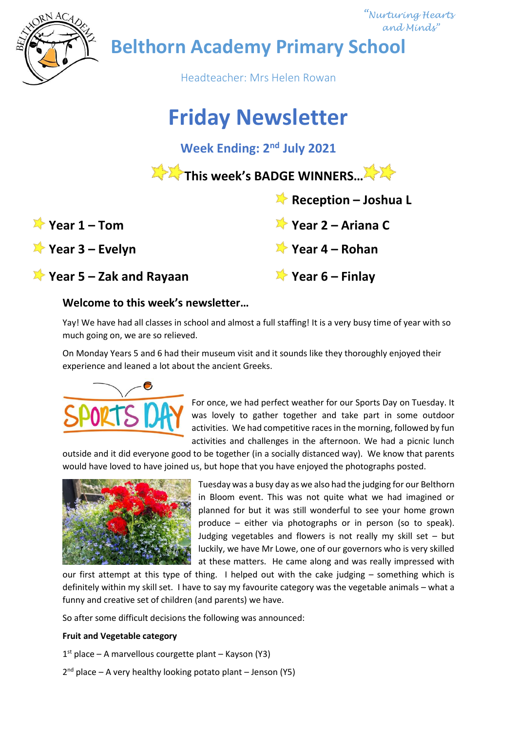

 *"Nurturing Hearts and Minds"*

**Belthorn Academy Primary School**

Headteacher: Mrs Helen Rowan

# **Friday Newsletter**

**Week Ending: 2<sup>nd</sup> July 2021** 

**This week's BADGE WINNERS...** 

| Year $1 - Tom$ |  |
|----------------|--|
|----------------|--|

**Year 3 – Evelyn Year 4 – Rohan**

**Year 5 – Zak and Rayaan Year 6 – Finlay**

# **Welcome to this week's newsletter…**

Yay! We have had all classes in school and almost a full staffing! It is a very busy time of year with so much going on, we are so relieved.

On Monday Years 5 and 6 had their museum visit and it sounds like they thoroughly enjoyed their experience and leaned a lot about the ancient Greeks.



For once, we had perfect weather for our Sports Day on Tuesday. It was lovely to gather together and take part in some outdoor activities. We had competitive races in the morning, followed by fun activities and challenges in the afternoon. We had a picnic lunch

 **Reception – Joshua L**

**Year 1 – Tom Year 2 – Ariana C**

outside and it did everyone good to be together (in a socially distanced way). We know that parents would have loved to have joined us, but hope that you have enjoyed the photographs posted.



Tuesday was a busy day as we also had the judging for our Belthorn in Bloom event. This was not quite what we had imagined or planned for but it was still wonderful to see your home grown produce – either via photographs or in person (so to speak). Judging vegetables and flowers is not really my skill set – but luckily, we have Mr Lowe, one of our governors who is very skilled at these matters. He came along and was really impressed with

our first attempt at this type of thing. I helped out with the cake judging – something which is definitely within my skill set. I have to say my favourite category was the vegetable animals – what a funny and creative set of children (and parents) we have.

So after some difficult decisions the following was announced:

## **Fruit and Vegetable category**

1 st place – A marvellous courgette plant – Kayson (Y3)

2<sup>nd</sup> place – A very healthy looking potato plant – Jenson (Y5)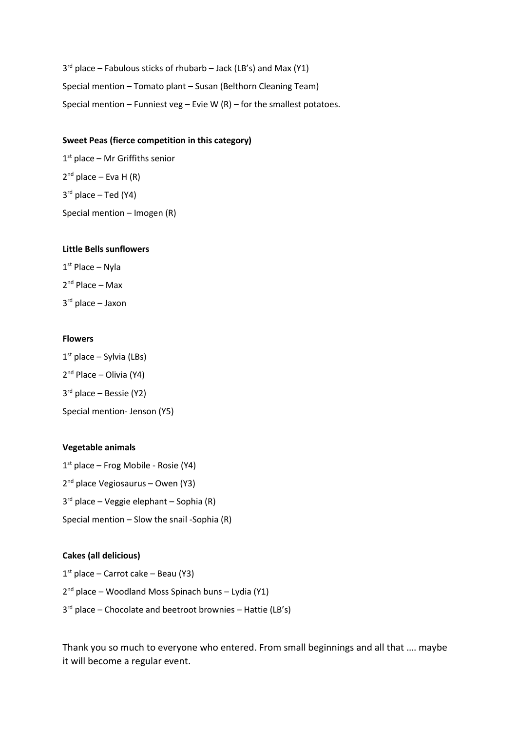3<sup>rd</sup> place – Fabulous sticks of rhubarb – Jack (LB's) and Max (Y1) Special mention – Tomato plant – Susan (Belthorn Cleaning Team) Special mention – Funniest veg – Evie W  $(R)$  – for the smallest potatoes.

### **Sweet Peas (fierce competition in this category)**

1 st place – Mr Griffiths senior 2<sup>nd</sup> place – Eva H (R) 3 rd place – Ted (Y4) Special mention – Imogen (R)

### **Little Bells sunflowers**

1 st Place – Nyla 2 nd Place – Max 3 rd place – Jaxon

### **Flowers**

1 st place – Sylvia (LBs) 2<sup>nd</sup> Place – Olivia (Y4) 3 rd place – Bessie (Y2) Special mention- Jenson (Y5)

### **Vegetable animals**

1 st place – Frog Mobile - Rosie (Y4) 2<sup>nd</sup> place Vegiosaurus - Owen (Y3) 3 rd place – Veggie elephant – Sophia (R) Special mention – Slow the snail -Sophia (R)

## **Cakes (all delicious)**

1 st place – Carrot cake – Beau (Y3) 2 nd place – Woodland Moss Spinach buns – Lydia (Y1) 3<sup>rd</sup> place – Chocolate and beetroot brownies – Hattie (LB's)

Thank you so much to everyone who entered. From small beginnings and all that …. maybe it will become a regular event.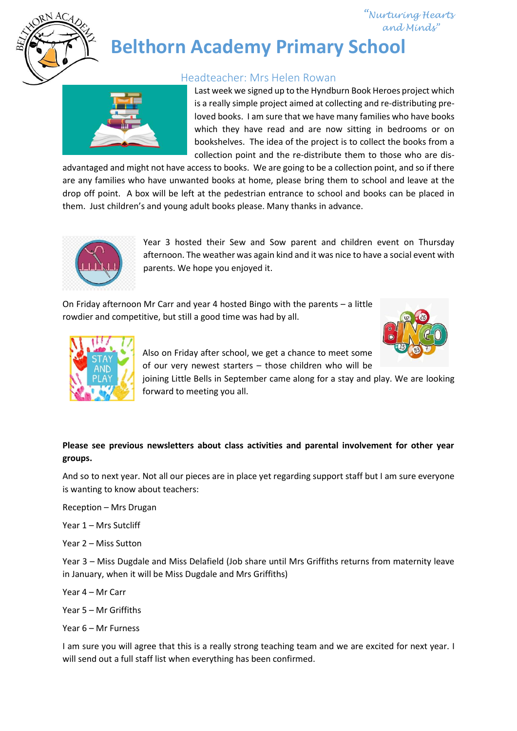

## *"Nurturing Hearts and Minds"*

# **Belthorn Academy Primary School**

## Headteacher: Mrs Helen Rowan



Last week we signed up to the Hyndburn Book Heroes project which is a really simple project aimed at collecting and re-distributing preloved books. I am sure that we have many families who have books which they have read and are now sitting in bedrooms or on bookshelves. The idea of the project is to collect the books from a collection point and the re-distribute them to those who are dis-

advantaged and might not have access to books. We are going to be a collection point, and so if there are any families who have unwanted books at home, please bring them to school and leave at the drop off point. A box will be left at the pedestrian entrance to school and books can be placed in them. Just children's and young adult books please. Many thanks in advance.



Year 3 hosted their Sew and Sow parent and children event on Thursday afternoon. The weather was again kind and it was nice to have a social event with parents. We hope you enjoyed it.

On Friday afternoon Mr Carr and year 4 hosted Bingo with the parents – a little rowdier and competitive, but still a good time was had by all.





Also on Friday after school, we get a chance to meet some of our very newest starters – those children who will be

joining Little Bells in September came along for a stay and play. We are looking forward to meeting you all.

## **Please see previous newsletters about class activities and parental involvement for other year groups.**

And so to next year. Not all our pieces are in place yet regarding support staff but I am sure everyone is wanting to know about teachers:

Reception – Mrs Drugan

Year 1 – Mrs Sutcliff

Year 2 – Miss Sutton

Year 3 – Miss Dugdale and Miss Delafield (Job share until Mrs Griffiths returns from maternity leave in January, when it will be Miss Dugdale and Mrs Griffiths)

- Year 4 Mr Carr
- Year 5 Mr Griffiths
- Year 6 Mr Furness

I am sure you will agree that this is a really strong teaching team and we are excited for next year. I will send out a full staff list when everything has been confirmed.